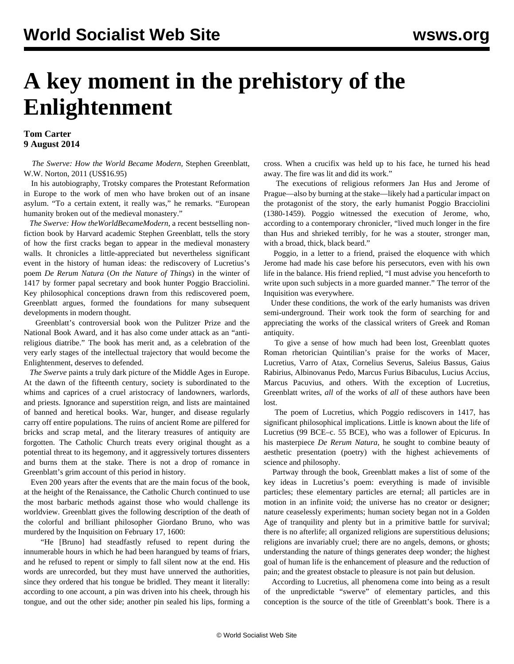## **A key moment in the prehistory of the Enlightenment**

## **Tom Carter 9 August 2014**

 *The Swerve: How the World Became Modern,* Stephen Greenblatt, W.W. Norton, 2011 (US\$16.95)

 In his autobiography, Trotsky compares the Protestant Reformation in Europe to the work of men who have broken out of an insane asylum. "To a certain extent, it really was," he remarks. "European humanity broken out of the medieval monastery."

 *The Swerve: How theWorldBecameModern*, a recent bestselling nonfiction book by Harvard academic Stephen Greenblatt, tells the story of how the first cracks began to appear in the medieval monastery walls. It chronicles a little-appreciated but nevertheless significant event in the history of human ideas: the rediscovery of Lucretius's poem *De Rerum Natura* (*On the Nature of Things*) in the winter of 1417 by former papal secretary and book hunter Poggio Bracciolini. Key philosophical conceptions drawn from this rediscovered poem, Greenblatt argues, formed the foundations for many subsequent developments in modern thought.

 Greenblatt's controversial book won the Pulitzer Prize and the National Book Award, and it has also come under attack as an "antireligious diatribe." The book has merit and, as a celebration of the very early stages of the intellectual trajectory that would become the Enlightenment, deserves to defended.

 *The Swerve* paints a truly dark picture of the Middle Ages in Europe. At the dawn of the fifteenth century, society is subordinated to the whims and caprices of a cruel aristocracy of landowners, warlords, and priests. Ignorance and superstition reign, and lists are maintained of banned and heretical books. War, hunger, and disease regularly carry off entire populations. The ruins of ancient Rome are pilfered for bricks and scrap metal, and the literary treasures of antiquity are forgotten. The Catholic Church treats every original thought as a potential threat to its hegemony, and it aggressively tortures dissenters and burns them at the stake. There is not a drop of romance in Greenblatt's grim account of this period in history.

 Even 200 years after the events that are the main focus of the book, at the height of the Renaissance, the Catholic Church continued to use the most barbaric methods against those who would challenge its worldview. Greenblatt gives the following description of the death of the colorful and brilliant philosopher Giordano Bruno, who was murdered by the Inquisition on February 17, 1600:

 "He [Bruno] had steadfastly refused to repent during the innumerable hours in which he had been harangued by teams of friars, and he refused to repent or simply to fall silent now at the end. His words are unrecorded, but they must have unnerved the authorities, since they ordered that his tongue be bridled. They meant it literally: according to one account, a pin was driven into his cheek, through his tongue, and out the other side; another pin sealed his lips, forming a cross. When a crucifix was held up to his face, he turned his head away. The fire was lit and did its work."

 The executions of religious reformers Jan Hus and Jerome of Prague—also by burning at the stake—likely had a particular impact on the protagonist of the story, the early humanist Poggio Bracciolini (1380-1459). Poggio witnessed the execution of Jerome, who, according to a contemporary chronicler, "lived much longer in the fire than Hus and shrieked terribly, for he was a stouter, stronger man, with a broad, thick, black beard."

 Poggio, in a letter to a friend, praised the eloquence with which Jerome had made his case before his persecutors, even with his own life in the balance. His friend replied, "I must advise you henceforth to write upon such subjects in a more guarded manner." The terror of the Inquisition was everywhere.

 Under these conditions, the work of the early humanists was driven semi-underground. Their work took the form of searching for and appreciating the works of the classical writers of Greek and Roman antiquity.

 To give a sense of how much had been lost, Greenblatt quotes Roman rhetorician Quintilian's praise for the works of Macer, Lucretius, Varro of Atax, Cornelius Severus, Saleius Bassus, Gaius Rabirius, Albinovanus Pedo, Marcus Furius Bibaculus, Lucius Accius, Marcus Pacuvius, and others. With the exception of Lucretius, Greenblatt writes, *all* of the works of *all* of these authors have been lost.

 The poem of Lucretius, which Poggio rediscovers in 1417, has significant philosophical implications. Little is known about the life of Lucretius (99 BCE–c. 55 BCE), who was a follower of Epicurus. In his masterpiece *De Rerum Natura,* he sought to combine beauty of aesthetic presentation (poetry) with the highest achievements of science and philosophy.

 Partway through the book, Greenblatt makes a list of some of the key ideas in Lucretius's poem: everything is made of invisible particles; these elementary particles are eternal; all particles are in motion in an infinite void; the universe has no creator or designer; nature ceaselessly experiments; human society began not in a Golden Age of tranquility and plenty but in a primitive battle for survival; there is no afterlife; all organized religions are superstitious delusions; religions are invariably cruel; there are no angels, demons, or ghosts; understanding the nature of things generates deep wonder; the highest goal of human life is the enhancement of pleasure and the reduction of pain; and the greatest obstacle to pleasure is not pain but delusion.

 According to Lucretius, all phenomena come into being as a result of the unpredictable "swerve" of elementary particles, and this conception is the source of the title of Greenblatt's book. There is a